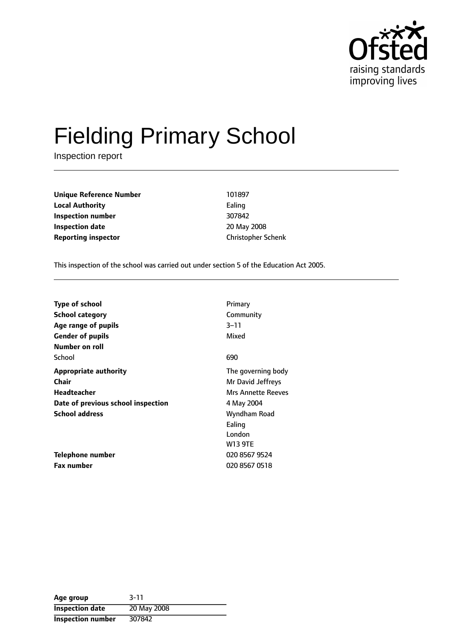

# Fielding Primary School

Inspection report

**Unique Reference Number** 101897 **Local Authority** Ealing **Inspection number** 307842 **Inspection date** 20 May 2008 **Reporting inspector Christopher Schenk** 

This inspection of the school was carried out under section 5 of the Education Act 2005.

| <b>Type of school</b>              | Primary                   |
|------------------------------------|---------------------------|
| <b>School category</b>             | Community                 |
| Age range of pupils                | $3 - 11$                  |
| <b>Gender of pupils</b>            | Mixed                     |
| Number on roll                     |                           |
| School                             | 690                       |
| <b>Appropriate authority</b>       | The governing body        |
| <b>Chair</b>                       | Mr David Jeffreys         |
| Headteacher                        | <b>Mrs Annette Reeves</b> |
| Date of previous school inspection | 4 May 2004                |
| <b>School address</b>              | Wyndham Road              |
|                                    | Ealing                    |
|                                    | London                    |
|                                    | <b>W13 9TE</b>            |
| Telephone number                   | 020 8567 9524             |
| <b>Fax number</b>                  | 020 8567 0518             |

| Age group              | $3 - 11$    |
|------------------------|-------------|
| <b>Inspection date</b> | 20 May 2008 |
| Inspection number      | 307842      |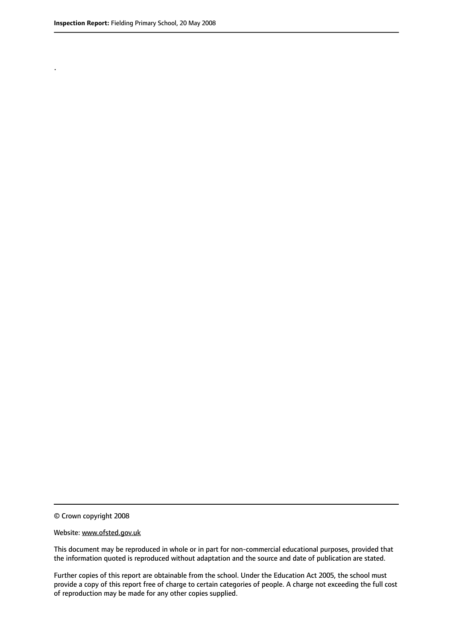.

© Crown copyright 2008

#### Website: www.ofsted.gov.uk

This document may be reproduced in whole or in part for non-commercial educational purposes, provided that the information quoted is reproduced without adaptation and the source and date of publication are stated.

Further copies of this report are obtainable from the school. Under the Education Act 2005, the school must provide a copy of this report free of charge to certain categories of people. A charge not exceeding the full cost of reproduction may be made for any other copies supplied.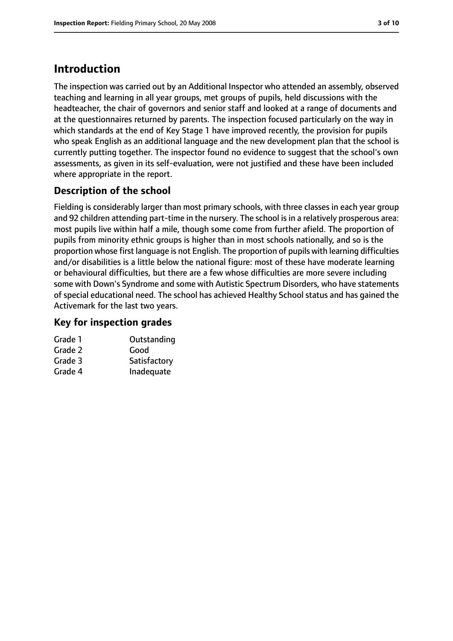## **Introduction**

The inspection was carried out by an Additional Inspector who attended an assembly, observed teaching and learning in all year groups, met groups of pupils, held discussions with the headteacher, the chair of governors and senior staff and looked at a range of documents and at the questionnaires returned by parents. The inspection focused particularly on the way in which standards at the end of Key Stage 1 have improved recently, the provision for pupils who speak English as an additional language and the new development plan that the school is currently putting together. The inspector found no evidence to suggest that the school's own assessments, as given in its self-evaluation, were not justified and these have been included where appropriate in the report.

## **Description of the school**

Fielding is considerably larger than most primary schools, with three classes in each year group and 92 children attending part-time in the nursery. The school is in a relatively prosperous area: most pupils live within half a mile, though some come from further afield. The proportion of pupils from minority ethnic groups is higher than in most schools nationally, and so is the proportion whose first language is not English. The proportion of pupils with learning difficulties and/or disabilities is a little below the national figure: most of these have moderate learning or behavioural difficulties, but there are a few whose difficulties are more severe including some with Down's Syndrome and some with Autistic Spectrum Disorders, who have statements of special educational need. The school has achieved Healthy School status and has gained the Activemark for the last two years.

#### **Key for inspection grades**

| Grade 1 | Outstanding  |
|---------|--------------|
| Grade 2 | Good         |
| Grade 3 | Satisfactory |
| Grade 4 | Inadequate   |
|         |              |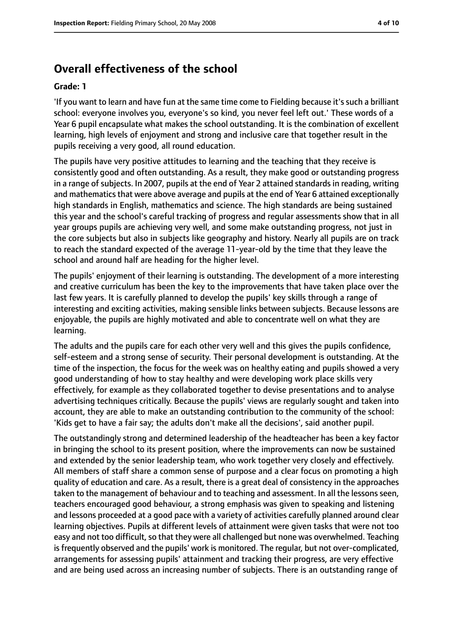## **Overall effectiveness of the school**

#### **Grade: 1**

'If you want to learn and have fun at the same time come to Fielding because it'ssuch a brilliant school: everyone involves you, everyone's so kind, you never feel left out.' These words of a Year 6 pupil encapsulate what makes the school outstanding. It is the combination of excellent learning, high levels of enjoyment and strong and inclusive care that together result in the pupils receiving a very good, all round education.

The pupils have very positive attitudes to learning and the teaching that they receive is consistently good and often outstanding. As a result, they make good or outstanding progress in a range of subjects. In 2007, pupils at the end of Year 2 attained standards in reading, writing and mathematics that were above average and pupils at the end of Year 6 attained exceptionally high standards in English, mathematics and science. The high standards are being sustained this year and the school's careful tracking of progress and regular assessments show that in all year groups pupils are achieving very well, and some make outstanding progress, not just in the core subjects but also in subjects like geography and history. Nearly all pupils are on track to reach the standard expected of the average 11-year-old by the time that they leave the school and around half are heading for the higher level.

The pupils' enjoyment of their learning is outstanding. The development of a more interesting and creative curriculum has been the key to the improvements that have taken place over the last few years. It is carefully planned to develop the pupils' key skills through a range of interesting and exciting activities, making sensible links between subjects. Because lessons are enjoyable, the pupils are highly motivated and able to concentrate well on what they are learning.

The adults and the pupils care for each other very well and this gives the pupils confidence, self-esteem and a strong sense of security. Their personal development is outstanding. At the time of the inspection, the focus for the week was on healthy eating and pupils showed a very good understanding of how to stay healthy and were developing work place skills very effectively, for example as they collaborated together to devise presentations and to analyse advertising techniques critically. Because the pupils' views are regularly sought and taken into account, they are able to make an outstanding contribution to the community of the school: 'Kids get to have a fair say; the adults don't make all the decisions', said another pupil.

The outstandingly strong and determined leadership of the headteacher has been a key factor in bringing the school to its present position, where the improvements can now be sustained and extended by the senior leadership team, who work together very closely and effectively. All members of staff share a common sense of purpose and a clear focus on promoting a high quality of education and care. As a result, there is a great deal of consistency in the approaches taken to the management of behaviour and to teaching and assessment. In all the lessons seen, teachers encouraged good behaviour, a strong emphasis was given to speaking and listening and lessons proceeded at a good pace with a variety of activities carefully planned around clear learning objectives. Pupils at different levels of attainment were given tasks that were not too easy and not too difficult, so that they were all challenged but none was overwhelmed. Teaching is frequently observed and the pupils' work is monitored. The reqular, but not over-complicated, arrangements for assessing pupils' attainment and tracking their progress, are very effective and are being used across an increasing number of subjects. There is an outstanding range of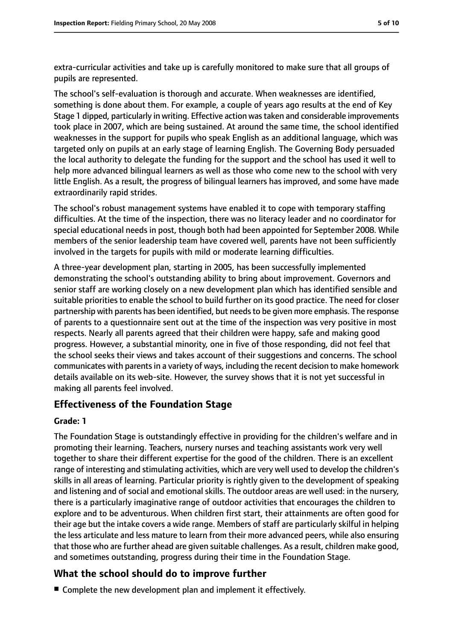extra-curricular activities and take up is carefully monitored to make sure that all groups of pupils are represented.

The school's self-evaluation is thorough and accurate. When weaknesses are identified, something is done about them. For example, a couple of years ago results at the end of Key Stage 1 dipped, particularly in writing. Effective action wastaken and considerable improvements took place in 2007, which are being sustained. At around the same time, the school identified weaknesses in the support for pupils who speak English as an additional language, which was targeted only on pupils at an early stage of learning English. The Governing Body persuaded the local authority to delegate the funding for the support and the school has used it well to help more advanced bilingual learners as well as those who come new to the school with very little English. As a result, the progress of bilingual learners has improved, and some have made extraordinarily rapid strides.

The school's robust management systems have enabled it to cope with temporary staffing difficulties. At the time of the inspection, there was no literacy leader and no coordinator for special educational needs in post, though both had been appointed for September 2008. While members of the senior leadership team have covered well, parents have not been sufficiently involved in the targets for pupils with mild or moderate learning difficulties.

A three-year development plan, starting in 2005, has been successfully implemented demonstrating the school's outstanding ability to bring about improvement. Governors and senior staff are working closely on a new development plan which has identified sensible and suitable priorities to enable the school to build further on its good practice. The need for closer partnership with parents has been identified, but needs to be given more emphasis. The response of parents to a questionnaire sent out at the time of the inspection was very positive in most respects. Nearly all parents agreed that their children were happy, safe and making good progress. However, a substantial minority, one in five of those responding, did not feel that the school seeks their views and takes account of their suggestions and concerns. The school communicates with parents in a variety of ways, including the recent decision to make homework details available on its web-site. However, the survey shows that it is not yet successful in making all parents feel involved.

#### **Effectiveness of the Foundation Stage**

#### **Grade: 1**

The Foundation Stage is outstandingly effective in providing for the children's welfare and in promoting their learning. Teachers, nursery nurses and teaching assistants work very well together to share their different expertise for the good of the children. There is an excellent range of interesting and stimulating activities, which are very well used to develop the children's skills in all areas of learning. Particular priority is rightly given to the development of speaking and listening and of social and emotional skills. The outdoor areas are well used: in the nursery, there is a particularly imaginative range of outdoor activities that encourages the children to explore and to be adventurous. When children first start, their attainments are often good for their age but the intake covers a wide range. Members of staff are particularly skilful in helping the less articulate and less mature to learn from their more advanced peers, while also ensuring that those who are further ahead are given suitable challenges. As a result, children make good, and sometimes outstanding, progress during their time in the Foundation Stage.

#### **What the school should do to improve further**

■ Complete the new development plan and implement it effectively.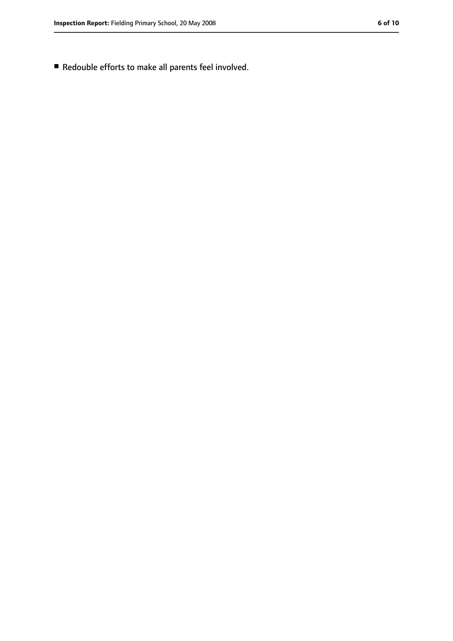■ Redouble efforts to make all parents feel involved.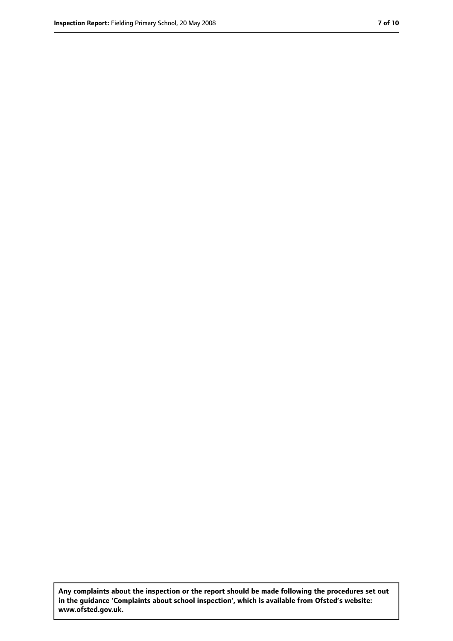**Any complaints about the inspection or the report should be made following the procedures set out in the guidance 'Complaints about school inspection', which is available from Ofsted's website: www.ofsted.gov.uk.**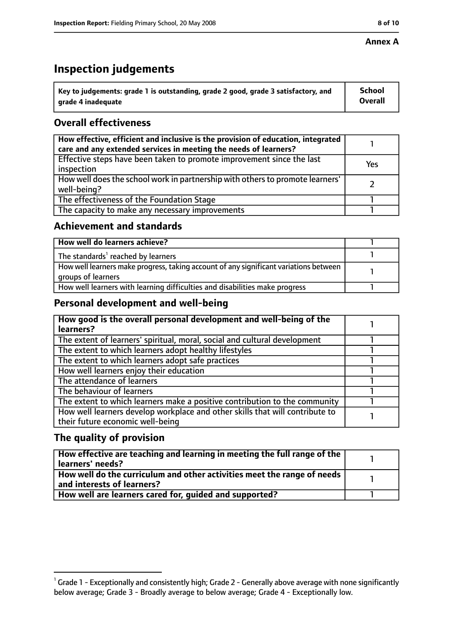#### **Annex A**

## **Inspection judgements**

| $^{\backprime}$ Key to judgements: grade 1 is outstanding, grade 2 good, grade 3 satisfactory, and | <b>School</b>  |
|----------------------------------------------------------------------------------------------------|----------------|
| arade 4 inadeguate                                                                                 | <b>Overall</b> |

### **Overall effectiveness**

| How effective, efficient and inclusive is the provision of education, integrated<br>care and any extended services in meeting the needs of learners? |     |
|------------------------------------------------------------------------------------------------------------------------------------------------------|-----|
| Effective steps have been taken to promote improvement since the last<br>inspection                                                                  | Yes |
| How well does the school work in partnership with others to promote learners'<br>well-being?                                                         |     |
| The effectiveness of the Foundation Stage                                                                                                            |     |
| The capacity to make any necessary improvements                                                                                                      |     |

#### **Achievement and standards**

| How well do learners achieve?                                                                               |  |
|-------------------------------------------------------------------------------------------------------------|--|
| The standards <sup>1</sup> reached by learners                                                              |  |
| How well learners make progress, taking account of any significant variations between<br>groups of learners |  |
| How well learners with learning difficulties and disabilities make progress                                 |  |

#### **Personal development and well-being**

| How good is the overall personal development and well-being of the<br>learners?                                  |  |
|------------------------------------------------------------------------------------------------------------------|--|
| The extent of learners' spiritual, moral, social and cultural development                                        |  |
| The extent to which learners adopt healthy lifestyles                                                            |  |
| The extent to which learners adopt safe practices                                                                |  |
| How well learners enjoy their education                                                                          |  |
| The attendance of learners                                                                                       |  |
| The behaviour of learners                                                                                        |  |
| The extent to which learners make a positive contribution to the community                                       |  |
| How well learners develop workplace and other skills that will contribute to<br>their future economic well-being |  |

#### **The quality of provision**

| How effective are teaching and learning in meeting the full range of the<br>learners' needs?          |  |
|-------------------------------------------------------------------------------------------------------|--|
| How well do the curriculum and other activities meet the range of needs<br>and interests of learners? |  |
| How well are learners cared for, quided and supported?                                                |  |

 $^1$  Grade 1 - Exceptionally and consistently high; Grade 2 - Generally above average with none significantly below average; Grade 3 - Broadly average to below average; Grade 4 - Exceptionally low.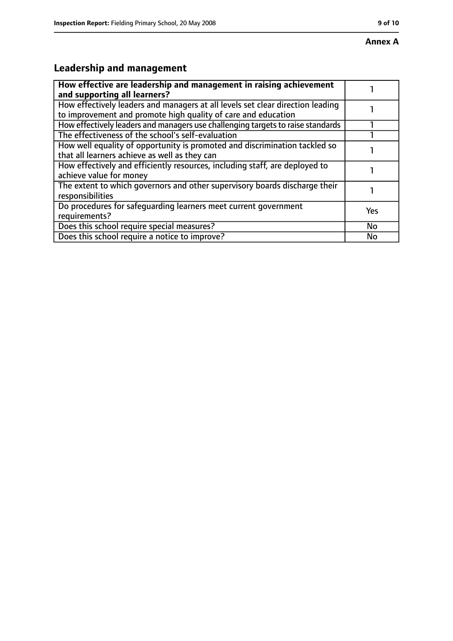## **Leadership and management**

| How effective are leadership and management in raising achievement<br>and supporting all learners?                                              |     |
|-------------------------------------------------------------------------------------------------------------------------------------------------|-----|
| How effectively leaders and managers at all levels set clear direction leading<br>to improvement and promote high quality of care and education |     |
| How effectively leaders and managers use challenging targets to raise standards                                                                 |     |
| The effectiveness of the school's self-evaluation                                                                                               |     |
| How well equality of opportunity is promoted and discrimination tackled so<br>that all learners achieve as well as they can                     |     |
| How effectively and efficiently resources, including staff, are deployed to<br>achieve value for money                                          |     |
| The extent to which governors and other supervisory boards discharge their<br>responsibilities                                                  |     |
| Do procedures for safequarding learners meet current government<br>requirements?                                                                | Yes |
| Does this school require special measures?                                                                                                      | No  |
| Does this school require a notice to improve?                                                                                                   | No  |